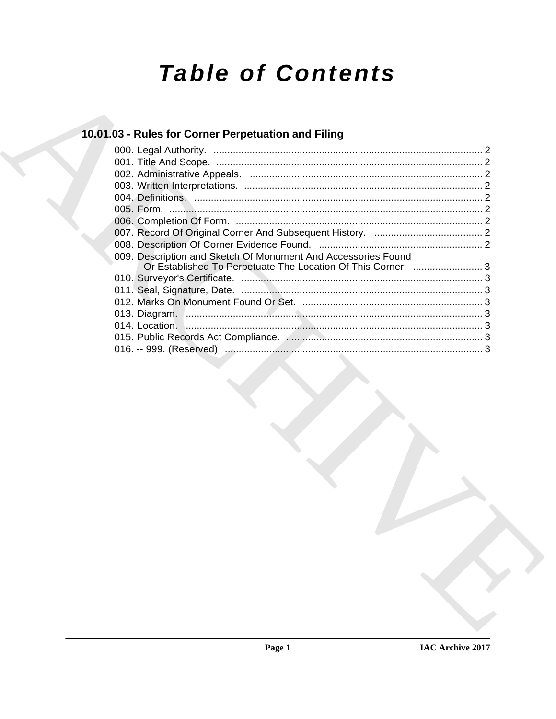# **Table of Contents**

## 10.01.03 - Rules for Corner Perpetuation and Filing

| 009. Description and Sketch Of Monument And Accessories Found<br>Or Established To Perpetuate The Location Of This Corner.  3 |  |
|-------------------------------------------------------------------------------------------------------------------------------|--|
|                                                                                                                               |  |
|                                                                                                                               |  |
|                                                                                                                               |  |
|                                                                                                                               |  |
|                                                                                                                               |  |
|                                                                                                                               |  |
|                                                                                                                               |  |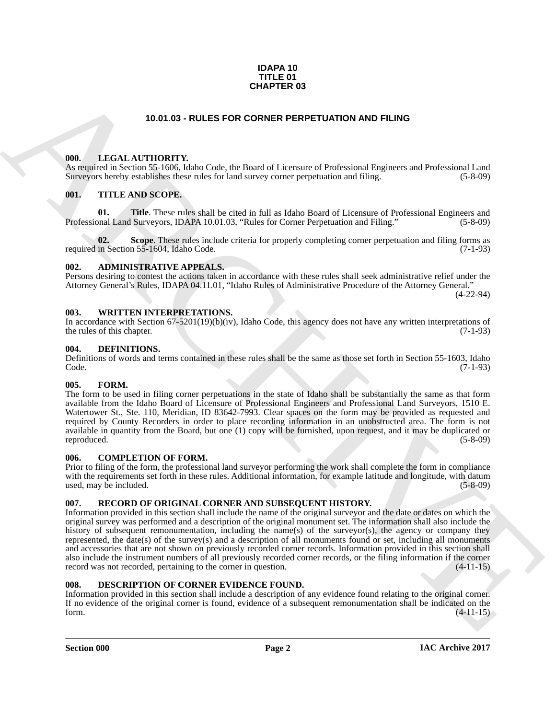#### **IDAPA 10 TITLE 01 CHAPTER 03**

#### **10.01.03 - RULES FOR CORNER PERPETUATION AND FILING**

#### <span id="page-1-1"></span><span id="page-1-0"></span>**000. LEGAL AUTHORITY.**

As required in Section 55-1606, Idaho Code, the Board of Licensure of Professional Engineers and Professional Land Surveyors hereby establishes these rules for land survey corner perpetuation and filing. (5-8-09)

#### <span id="page-1-2"></span>**001. TITLE AND SCOPE.**

**01.** Title. These rules shall be cited in full as Idaho Board of Licensure of Professional Engineers and Professional Land Surveyors, IDAPA 10.01.03, "Rules for Corner Perpetuation and Filing." (5-8-09)

**02.** Scope. These rules include criteria for properly completing corner perpetuation and filing forms as in Section 55-1604, Idaho Code. (7-1-93) required in Section 55-1604, Idaho Code.

#### <span id="page-1-3"></span>**002. ADMINISTRATIVE APPEALS.**

Persons desiring to contest the actions taken in accordance with these rules shall seek administrative relief under the Attorney General's Rules, IDAPA 04.11.01, "Idaho Rules of Administrative Procedure of the Attorney General."

(4-22-94)

#### <span id="page-1-4"></span>**003. WRITTEN INTERPRETATIONS.**

In accordance with Section 67-5201(19)(b)(iv), Idaho Code, this agency does not have any written interpretations of the rules of this chapter. (7-1-93)

#### <span id="page-1-11"></span><span id="page-1-5"></span>**004. DEFINITIONS.**

Definitions of words and terms contained in these rules shall be the same as those set forth in Section 55-1603, Idaho Code. (7-1-93)

#### <span id="page-1-13"></span><span id="page-1-6"></span>**005. FORM.**

The form to be used in filing corner perpetuations in the state of Idaho shall be substantially the same as that form available from the Idaho Board of Licensure of Professional Engineers and Professional Land Surveyors, 1510 E. Watertower St., Ste. 110, Meridian, ID 83642-7993. Clear spaces on the form may be provided as requested and required by County Recorders in order to place recording information in an unobstructed area. The form is not available in quantity from the Board, but one (1) copy will be furnished, upon request, and it may be duplicated or reproduced. (5-8-09)

#### <span id="page-1-10"></span><span id="page-1-7"></span>**006. COMPLETION OF FORM.**

Prior to filing of the form, the professional land surveyor performing the work shall complete the form in compliance with the requirements set forth in these rules. Additional information, for example latitude and longitude, with datum used, may be included. (5-8-09)

#### <span id="page-1-14"></span><span id="page-1-8"></span>**007. RECORD OF ORIGINAL CORNER AND SUBSEQUENT HISTORY.**

**CHAPTER 03**<br> **CHAPTER 03**<br> **CHAPTER 03**<br> **CHAPTER CONNER PERPETUATION AND FILING**<br> **CHAPTER CONNER PERPETUATION AND FILING**<br> **CHAPTER CHAPTER CONNER PERPETUATION ASSEMBLATED AND CONNER PERPETUATION (See For Fig. 2). THE** Information provided in this section shall include the name of the original surveyor and the date or dates on which the original survey was performed and a description of the original monument set. The information shall also include the history of subsequent remonumentation, including the name(s) of the surveyor(s), the agency or company they represented, the date(s) of the survey(s) and a description of all monuments found or set, including all monuments and accessories that are not shown on previously recorded corner records. Information provided in this section shall also include the instrument numbers of all previously recorded corner records, or the filing information if the corner record was not recorded, pertaining to the corner in question. (4-11-15)

#### <span id="page-1-12"></span><span id="page-1-9"></span>**008. DESCRIPTION OF CORNER EVIDENCE FOUND.**

Information provided in this section shall include a description of any evidence found relating to the original corner. If no evidence of the original corner is found, evidence of a subsequent remonumentation shall be indicated on the form. (4-11-15) form.  $(4-11-15)$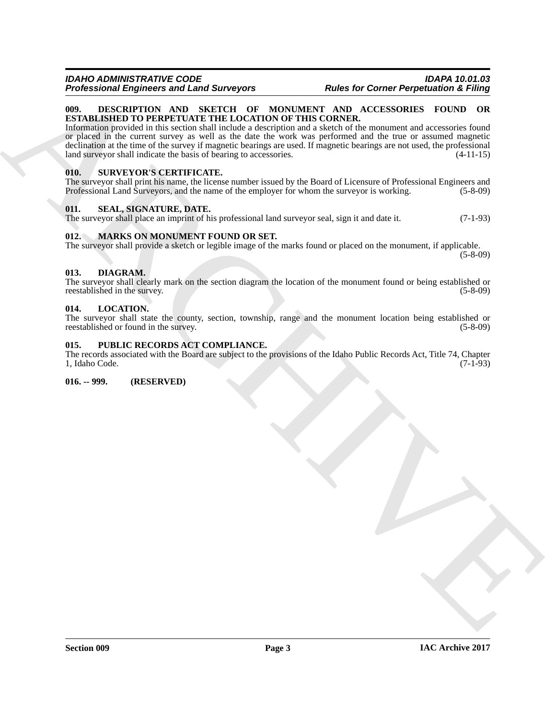#### <span id="page-2-8"></span><span id="page-2-0"></span>**009. DESCRIPTION AND SKETCH OF MONUMENT AND ACCESSORIES FOUND OR ESTABLISHED TO PERPETUATE THE LOCATION OF THIS CORNER.**

**Professional Engineeristics and Lens Secrets Archives and Robert Corner Perpension in This correlation is contained as the contained and the secret of the secrets and the secret of the secret of the secret of the second** Information provided in this section shall include a description and a sketch of the monument and accessories found or placed in the current survey as well as the date the work was performed and the true or assumed magnetic declination at the time of the survey if magnetic bearings are used. If magnetic bearings are not used, the professional land surveyor shall indicate the basis of bearing to accessories. (4-11-15)

#### <span id="page-2-14"></span><span id="page-2-1"></span>**010. SURVEYOR'S CERTIFICATE.**

The surveyor shall print his name, the license number issued by the Board of Licensure of Professional Engineers and Professional Land Surveyors, and the name of the employer for whom the surveyor is working. (5-8-09)

#### <span id="page-2-13"></span><span id="page-2-2"></span>**011. SEAL, SIGNATURE, DATE.**

The surveyor shall place an imprint of his professional land surveyor seal, sign it and date it. (7-1-93)

#### <span id="page-2-11"></span><span id="page-2-3"></span>**012. MARKS ON MONUMENT FOUND OR SET.**

The surveyor shall provide a sketch or legible image of the marks found or placed on the monument, if applicable. (5-8-09)

#### <span id="page-2-9"></span><span id="page-2-4"></span>**013. DIAGRAM.**

The surveyor shall clearly mark on the section diagram the location of the monument found or being established or reestablished in the survey. (5-8-09) reestablished in the survey.

#### <span id="page-2-10"></span><span id="page-2-5"></span>**014. LOCATION.**

The surveyor shall state the county, section, township, range and the monument location being established or reestablished or found in the survey. (5-8-09) (5-8-09)

#### <span id="page-2-12"></span><span id="page-2-6"></span>**015. PUBLIC RECORDS ACT COMPLIANCE.**

The records associated with the Board are subject to the provisions of the Idaho Public Records Act, Title 74, Chapter 1, Idaho Code. (7-1-93)

<span id="page-2-7"></span>**016. -- 999. (RESERVED)**